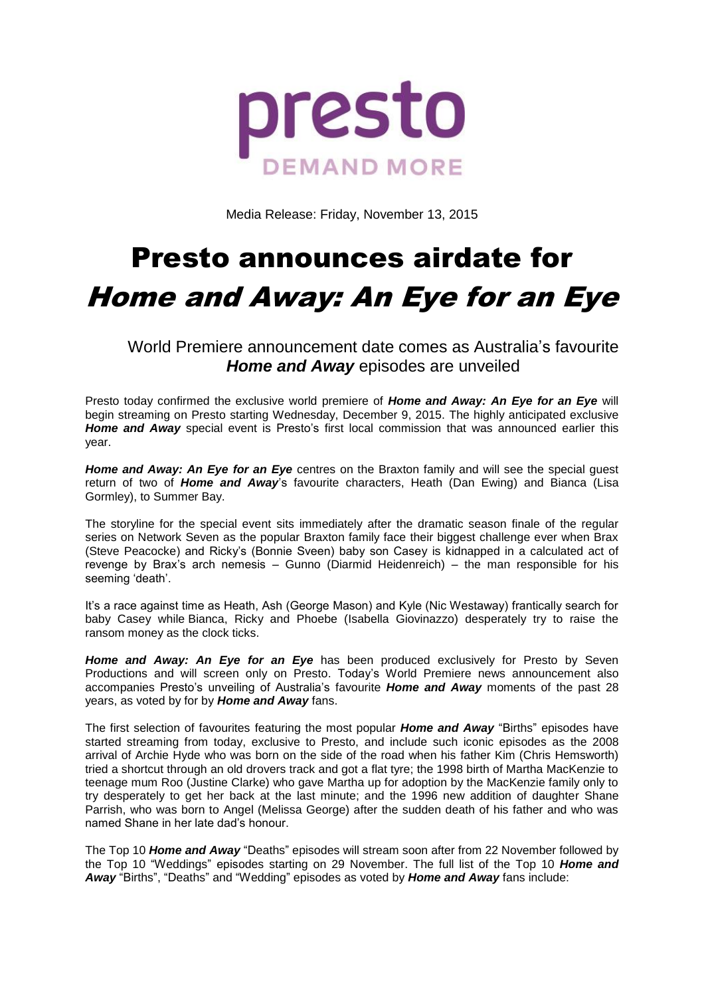

Media Release: Friday, November 13, 2015

# Presto announces airdate for

## Home and Away: An Eye for an Eye

World Premiere announcement date comes as Australia's favourite *Home and Away* episodes are unveiled

Presto today confirmed the exclusive world premiere of *Home and Away: An Eye for an Eye* will begin streaming on Presto starting Wednesday, December 9, 2015. The highly anticipated exclusive *Home and Away* special event is Presto's first local commission that was announced earlier this year.

*Home and Away: An Eye for an Eye* centres on the Braxton family and will see the special guest return of two of *Home and Away*'s favourite characters, Heath (Dan Ewing) and Bianca (Lisa Gormley), to Summer Bay.

The storyline for the special event sits immediately after the dramatic season finale of the regular series on Network Seven as the popular Braxton family face their biggest challenge ever when Brax (Steve Peacocke) and Ricky's (Bonnie Sveen) baby son Casey is kidnapped in a calculated act of revenge by Brax's arch nemesis – Gunno (Diarmid Heidenreich) – the man responsible for his seeming 'death'.

It's a race against time as Heath, Ash (George Mason) and Kyle (Nic Westaway) frantically search for baby Casey while Bianca, Ricky and Phoebe (Isabella Giovinazzo) desperately try to raise the ransom money as the clock ticks.

**Home and Away: An Eye for an Eye** has been produced exclusively for Presto by Seven Productions and will screen only on Presto. Today's World Premiere news announcement also accompanies Presto's unveiling of Australia's favourite *Home and Away* moments of the past 28 years, as voted by for by *Home and Away* fans.

The first selection of favourites featuring the most popular *Home and Away* "Births" episodes have started streaming from today, exclusive to Presto, and include such iconic episodes as the 2008 arrival of Archie Hyde who was born on the side of the road when his father Kim (Chris Hemsworth) tried a shortcut through an old drovers track and got a flat tyre; the 1998 birth of Martha MacKenzie to teenage mum Roo (Justine Clarke) who gave Martha up for adoption by the MacKenzie family only to try desperately to get her back at the last minute; and the 1996 new addition of daughter Shane Parrish, who was born to Angel (Melissa George) after the sudden death of his father and who was named Shane in her late dad's honour.

The Top 10 *Home and Away* "Deaths" episodes will stream soon after from 22 November followed by the Top 10 "Weddings" episodes starting on 29 November. The full list of the Top 10 *Home and Away* "Births", "Deaths" and "Wedding" episodes as voted by *Home and Away* fans include: